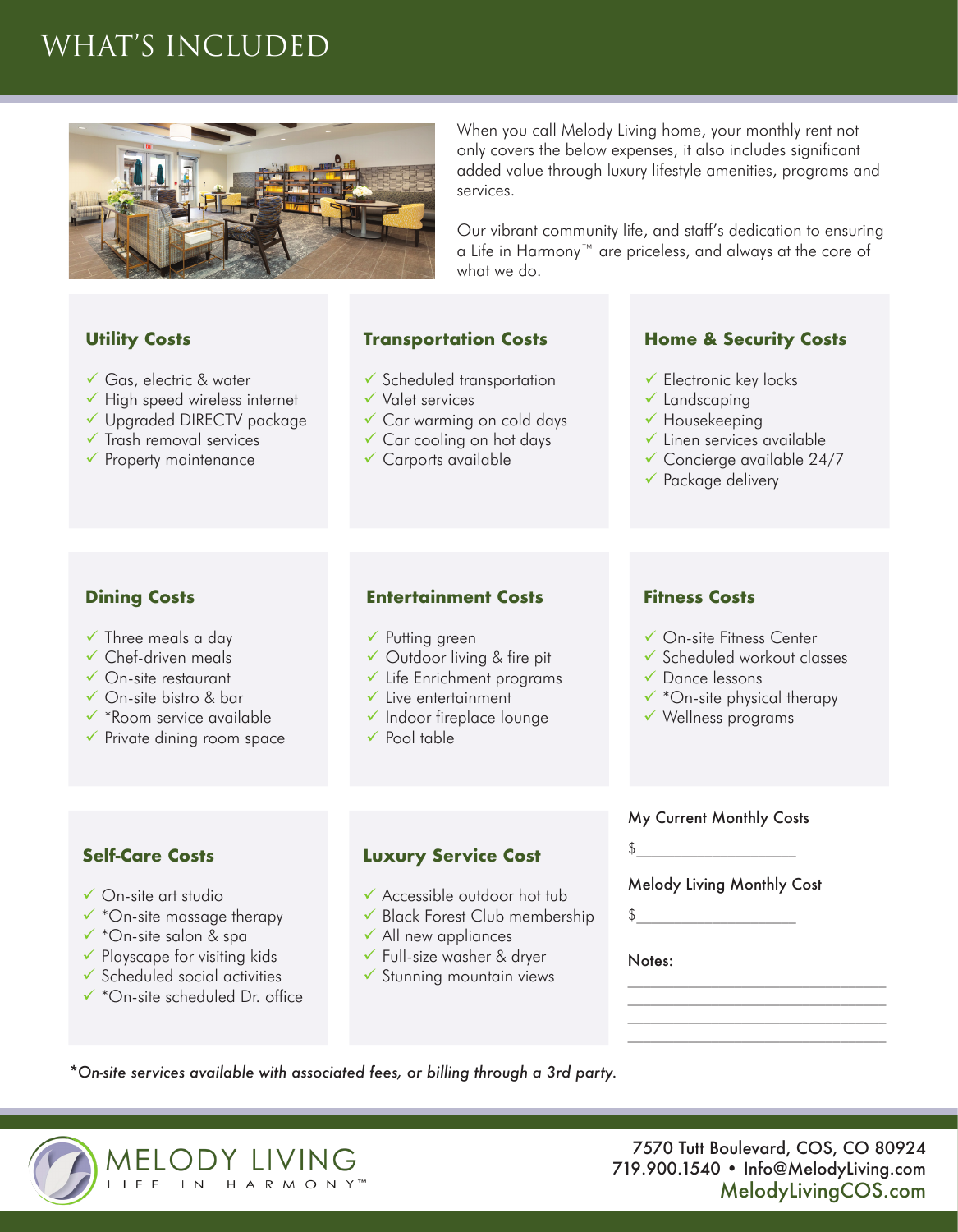# WHAT'S INCLUDED



**Utility Costs**

- Gas, electric & water
- $\checkmark$  High speed wireless internet
- Upgraded DIRECTV package
- $\checkmark$  Trash removal services
- $\checkmark$  Property maintenance

When you call Melody Living home, your monthly rent not only covers the below expenses, it also includes significant added value through luxury lifestyle amenities, programs and services.

Our vibrant community life, and staff's dedication to ensuring a Life in Harmony™ are priceless, and always at the core of what we do.

### **Transportation Costs**

- $\checkmark$  Scheduled transportation
- Valet services
- Car warming on cold days
- Car cooling on hot days
- $\checkmark$  Carports available

#### **Home & Security Costs**

- $\checkmark$  Electronic key locks
- $\checkmark$  Landscaping
- $\checkmark$  Housekeeping
- $\checkmark$  Linen services available
- $\checkmark$  Concierge available 24/7
- $\checkmark$  Package delivery

### **Dining Costs**

- $\checkmark$  Three meals a day
- $\checkmark$  Chef-driven meals
- On-site restaurant
- On-site bistro & bar
- $\checkmark$  \*Room service available
- $\checkmark$  Private dining room space

### **Entertainment Costs**

- $\checkmark$  Putting green
- Outdoor living & fire pit
- $\checkmark$  Life Enrichment programs
- $\checkmark$  Live entertainment
- 
- 

### **Fitness Costs**

- On-site Fitness Center
- Scheduled workout classes
- Dance lessons
- $\checkmark$  \*On-site physical therapy
- $\checkmark$  Wellness programs

## **Self-Care Costs**

- On-site art studio
- $\checkmark$  \*On-site massage therapy
- $\checkmark$  \*On-site salon & spa
- $\checkmark$  Playscape for visiting kids
- $\checkmark$  Scheduled social activities
- \*On-site scheduled Dr. office

#### **Luxury Service Cost**

- Accessible outdoor hot tub
- Black Forest Club membership
- $\checkmark$  All new appliances
- Full-size washer & dryer
- $\checkmark$  Stunning mountain views

My Current Monthly Costs

 $\updownarrow$ 

Melody Living Monthly Cost

 $\updownarrow$ 

#### Notes:

*\*On-site services available with associated fees, or billing through a 3rd party.*



- 
- $\checkmark$  Indoor fireplace lounge
- $\checkmark$  Pool table